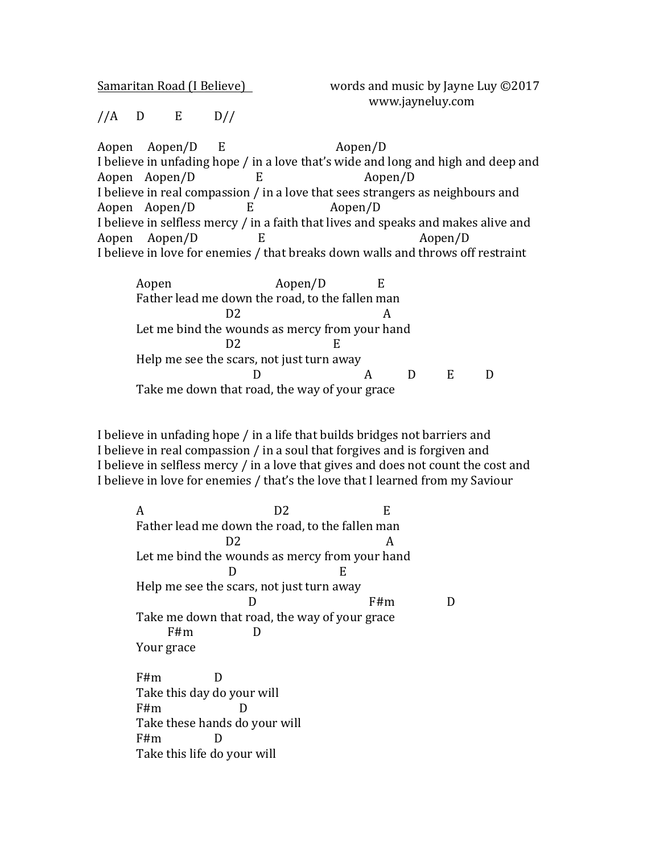| Samaritan Road (I Believe)<br>. | words and music by Jayne Luy ©2017 |
|---------------------------------|------------------------------------|
|                                 | www.jayneluy.com                   |

## $//A$  D E D//

Aopen Aopen/D E Aopen/D I believe in unfading hope / in a love that's wide and long and high and deep and Aopen Aopen/D E Aopen/D I believe in real compassion / in a love that sees strangers as neighbours and Aopen  $\text{Aopen}/\text{D}$  E  $\text{Aopen}/\text{D}$ I believe in selfless mercy / in a faith that lives and speaks and makes alive and Aopen Aopen/D E Aopen/D I believe in love for enemies / that breaks down walls and throws off restraint

Aopen Aopen/D E Father lead me down the road, to the fallen man D2 A Let me bind the wounds as mercy from your hand D2 E Help me see the scars, not just turn away D A D E D Take me down that road, the way of your grace

I believe in unfading hope / in a life that builds bridges not barriers and I believe in real compassion  $/$  in a soul that forgives and is forgiven and I believe in selfless mercy / in a love that gives and does not count the cost and I believe in love for enemies / that's the love that I learned from my Saviour

A D2 E Father lead me down the road, to the fallen man  $D2$  A Let me bind the wounds as mercy from your hand  $D$  E Help me see the scars, not just turn away D F#m D Take me down that road, the way of your grace F#m D Your grace F#m D Take this day do your will  $F#m$  D Take these hands do your will F#m D

Take this life do your will